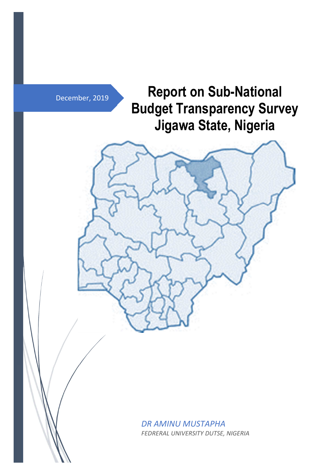December, 2019

**Report on Sub-National Budget Transparency Survey Jigawa State, Nigeria** 



*DR AMINU MUSTAPHA FEDRERAL UNIVERSITY DUTSE, NIGERIA*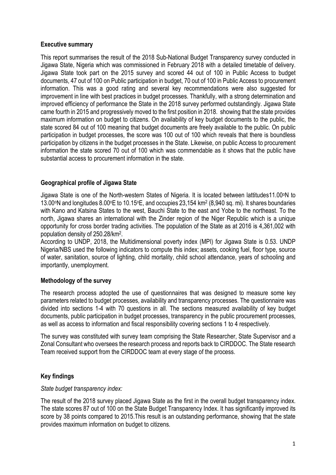### **Executive summary**

This report summarises the result of the 2018 Sub-National Budget Transparency survey conducted in Jigawa State, Nigeria which was commissioned in February 2018 with a detailed timetable of delivery. Jigawa State took part on the 2015 survey and scored 44 out of 100 in Public Access to budget documents, 47 out of 100 on Public participation in budget, 70 out of 100 in Public Access to procurement information. This was a good rating and several key recommendations were also suggested for improvement in line with best practices in budget processes. Thankfully, with a strong determination and improved efficiency of performance the State in the 2018 survey performed outstandingly. Jigawa State came fourth in 2015 and progressively moved to the first position in 2018. showing that the state provides maximum information on budget to citizens. On availability of key budget documents to the public, the state scored 84 out of 100 meaning that budget documents are freely available to the public. On public participation in budget processes, the score was 100 out of 100 which reveals that there is boundless participation by citizens in the budget processes in the State. Likewise, on public Access to procurement information the state scored 70 out of 100 which was commendable as it shows that the public have substantial access to procurement information in the state.

## **Geographical profile of Jigawa State**

Jigawa State is one of the North-western States of Nigeria. It is located between lattitudes11.00°N to 13.00oN and longitudes 8.00oE to 10.15oE, and occupies 23,154 km<sup>2</sup> (8,940 sq. mi). It shares boundaries with Kano and Katsina States to the west, Bauchi State to the east and Yobe to the northeast. To the north, Jigawa shares an international with the Zinder region of the Niger Republic which is a unique opportunity for cross border trading activities. The population of the State as at 2016 is 4,361,002 with population density of 250.28/km<sup>2</sup> .

According to UNDP, 2018, the Multidimensional poverty index (MPI) for Jigawa State is 0.53. UNDP Nigeria/NBS used the following indicators to compute this index; assets, cooking fuel, floor type, source of water, sanitation, source of lighting, child mortality, child school attendance, years of schooling and importantly, unemployment.

## **Methodology of the survey**

The research process adopted the use of questionnaires that was designed to measure some key parameters related to budget processes, availability and transparency processes. The questionnaire was divided into sections 1-4 with 70 questions in all. The sections measured availability of key budget documents, public participation in budget processes, transparency in the public procurement processes, as well as access to information and fiscal responsibility covering sections 1 to 4 respectively.

The survey was constituted with survey team comprising the State Researcher, State Supervisor and a Zonal Consultant who oversees the research process and reports back to CIRDDOC. The State research Team received support from the CIRDDOC team at every stage of the process.

# **Key findings**

## *State budget transparency index:*

The result of the 2018 survey placed Jigawa State as the first in the overall budget transparency index. The state scores 87 out of 100 on the State Budget Transparency Index. It has significantly improved its score by 38 points compared to 2015.This result is an outstanding performance, showing that the state provides maximum information on budget to citizens.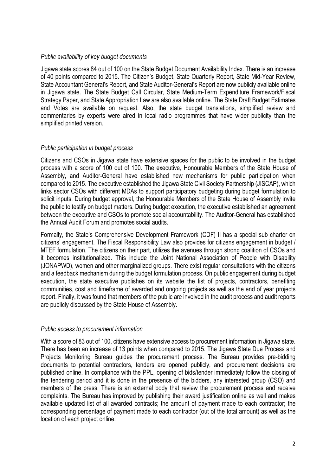### *Public availability of key budget documents*

Jigawa state scores 84 out of 100 on the State Budget Document Availability Index. There is an increase of 40 points compared to 2015. The Citizen's Budget, State Quarterly Report, State Mid-Year Review, State Accountant General's Report, and State Auditor-General's Report are now publicly available online in Jigawa state. The State Budget Call Circular, State Medium-Term Expenditure Framework/Fiscal Strategy Paper, and State Appropriation Law are also available online. The State Draft Budget Estimates and Votes are available on request. Also, the state budget translations, simplified review and commentaries by experts were aired in local radio programmes that have wider publicity than the simplified printed version.

#### *Public participation in budget process*

Citizens and CSOs in Jigawa state have extensive spaces for the public to be involved in the budget process with a score of 100 out of 100. The executive, Honourable Members of the State House of Assembly, and Auditor-General have established new mechanisms for public participation when compared to 2015. The executive established the Jigawa State Civil Society Partnership (JISCAP), which links sector CSOs with different MDAs to support participatory budgeting during budget formulation to solicit inputs. During budget approval, the Honourable Members of the State House of Assembly invite the public to testify on budget matters. During budget execution, the executive established an agreement between the executive and CSOs to promote social accountability. The Auditor-General has established the Annual Audit Forum and promotes social audits.

Formally, the State's Comprehensive Development Framework (CDF) II has a special sub charter on citizens' engagement. The Fiscal Responsibility Law also provides for citizens engagement in budget / MTEF formulation. The citizens on their part, utilizes the avenues through strong coalition of CSOs and it becomes institutionalized. This include the Joint National Association of People with Disability (JONAPWD), women and other marginalized groups. There exist regular consultations with the citizens and a feedback mechanism during the budget formulation process. On public engagement during budget execution, the state executive publishes on its website the list of projects, contractors, benefiting communities, cost and timeframe of awarded and ongoing projects as well as the end of year projects report. Finally, it was found that members of the public are involved in the audit process and audit reports are publicly discussed by the State House of Assembly.

#### *Public access to procurement information*

With a score of 83 out of 100, citizens have extensive access to procurement information in Jigawa state. There has been an increase of 13 points when compared to 2015. The Jigawa State Due Process and Projects Monitoring Bureau guides the procurement process. The Bureau provides pre-bidding documents to potential contractors, tenders are opened publicly, and procurement decisions are published online. In compliance with the PPL, opening of bids/tender immediately follow the closing of the tendering period and it is done in the presence of the bidders, any interested group (CSO) and members of the press. There is an external body that review the procurement process and receive complaints. The Bureau has improved by publishing their award justification online as well and makes available updated list of all awarded contracts; the amount of payment made to each contractor; the corresponding percentage of payment made to each contractor (out of the total amount) as well as the location of each project online.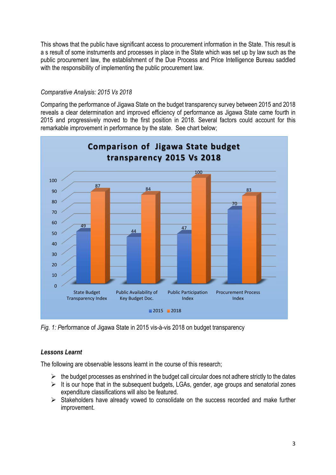This shows that the public have significant access to procurement information in the State. This result is a s result of some instruments and processes in place in the State which was set up by law such as the public procurement law, the establishment of the Due Process and Price Intelligence Bureau saddled with the responsibility of implementing the public procurement law.

## *Comparative Analysis: 2015 Vs 2018*

Comparing the performance of Jigawa State on the budget transparency survey between 2015 and 2018 reveals a clear determination and improved efficiency of performance as Jigawa State came fourth in 2015 and progressively moved to the first position in 2018. Several factors could account for this remarkable improvement in performance by the state. See chart below;



*Fig. 1: P*erformance of Jigawa State in 2015 vis-à-vis 2018 on budget transparency

# *Lessons Learnt*

The following are observable lessons learnt in the course of this research;

- $\triangleright$  the budget processes as enshrined in the budget call circular does not adhere strictly to the dates
- $\triangleright$  It is our hope that in the subsequent budgets, LGAs, gender, age groups and senatorial zones expenditure classifications will also be featured.
- $\triangleright$  Stakeholders have already vowed to consolidate on the success recorded and make further improvement.